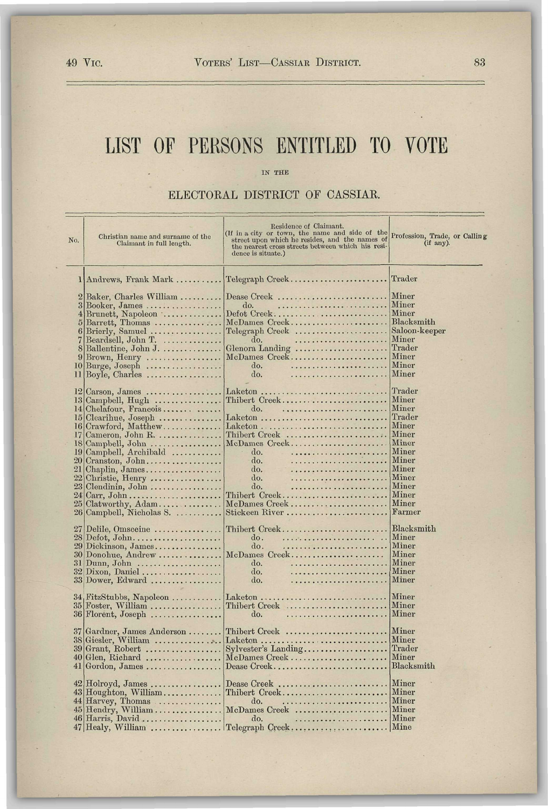## **LIST OF PERSONS ENTITLED TO VOTE**

## IN THE

ELECTORAL DISTRICT OF CASSIAR.

| No.             | Christian name and surname of the<br>Claimant in full length.                      | Residence of Claimant.<br>(If in a city or town, the name and side of the<br>street upon which he resides, and the names of<br>the nearest cross streets between which his resi-<br>dence is situate.) | Profession, Trade, or Calling<br>(if any). |
|-----------------|------------------------------------------------------------------------------------|--------------------------------------------------------------------------------------------------------------------------------------------------------------------------------------------------------|--------------------------------------------|
|                 | 1 Andrews, Frank Mark                                                              | Telegraph Creek                                                                                                                                                                                        | Trader                                     |
| $\overline{2}$  | Baker, Charles William                                                             | Dease Creek                                                                                                                                                                                            | Miner                                      |
|                 | $3  \text{Booker}, \text{James} \dots \dots \dots \dots \dots$                     | do.                                                                                                                                                                                                    | Miner                                      |
|                 | $4\,\mathrm{Brunett},\,\mathrm{Napoleon}\,\ldots\ldots\ldots\ldots$                | Defot Creek                                                                                                                                                                                            | Miner                                      |
| 5               | Barrett, Thomas                                                                    | McDames Creek                                                                                                                                                                                          | Blacksmith<br>Saloon-keeper                |
| 7               | $6$  Brierly, Samuel<br>Beardsell, John T.                                         | Telegraph Creek<br>do.                                                                                                                                                                                 | Miner                                      |
|                 | 8 Ballentine, John J.                                                              | Glenora Landing                                                                                                                                                                                        | Trader                                     |
| 9               | Brown, Henry                                                                       | McDames Creek                                                                                                                                                                                          | Miner                                      |
|                 | $10$ Burge, Joseph                                                                 | do.                                                                                                                                                                                                    | Miner                                      |
|                 | $11   \text{Boyle}, \text{Charles} \dots \dots \dots \dots \dots$                  | do.                                                                                                                                                                                                    | ${\rm Miner}$                              |
|                 |                                                                                    | Laketon                                                                                                                                                                                                | Trader                                     |
|                 | $12$ Carson, James<br>$13$ Campbell, Hugh                                          | Thibert Creek                                                                                                                                                                                          | Miner                                      |
|                 | 14 Chelafour, Francois                                                             | do.                                                                                                                                                                                                    | Miner                                      |
|                 | $15$ Clearihue, Joseph                                                             | Laketon                                                                                                                                                                                                | Trader                                     |
|                 | 16 Crawford, Matthew                                                               |                                                                                                                                                                                                        | Miner                                      |
|                 | $17$ Cameron, John R.                                                              | Thibert Creek                                                                                                                                                                                          | Miner<br>Miner                             |
| 19              | $18$ Campbell, John $\dots\dots\dots\dots\dots\dots\dots$<br>Campbell, Archibald   | McDames Creek<br>do.                                                                                                                                                                                   | Miner                                      |
| 20 <sub>l</sub> | Cranston, John                                                                     | do.                                                                                                                                                                                                    | Miner                                      |
| 21 <sup>2</sup> | Chaplin, James                                                                     | do.                                                                                                                                                                                                    | Miner                                      |
| 22              | Christie, Henry                                                                    | do.                                                                                                                                                                                                    | Miner                                      |
| 23              | Clendinin, John                                                                    | do.                                                                                                                                                                                                    | Miner                                      |
| 24<br>25        | Carr, $John \ldots \ldots \ldots \ldots \ldots \ldots \ldots$                      | Thibert Creek<br>McDames Creek                                                                                                                                                                         | Miner<br>Miner                             |
|                 | Clatworthy, Adam<br>26 Campbell, Nicholas S.                                       | Stickeen River                                                                                                                                                                                         | Farmer                                     |
|                 |                                                                                    |                                                                                                                                                                                                        |                                            |
| 27              | Delile, Omsceine                                                                   | Thibert Creek                                                                                                                                                                                          | Blacksmith                                 |
|                 | $28 \text{Defot}, \text{John} \dots \dots \dots \dots \dots \dots \dots$           | do.                                                                                                                                                                                                    | Miner<br>Miner                             |
|                 | $29 \mathrm{Dickinson}, \mathrm{James}.\dots.\dots.\dots.$<br>$30$ Donohue, Andrew | do.<br>McDames Creek                                                                                                                                                                                   | Miner                                      |
| 31              | Dunn, John                                                                         | do.                                                                                                                                                                                                    | Miner                                      |
|                 | $32$ Dixon, Daniel                                                                 | do.                                                                                                                                                                                                    | Miner                                      |
|                 | 33 Dower, Edward                                                                   | do.                                                                                                                                                                                                    | Miner                                      |
|                 | $34, \text{FitzStubbs}, \text{ Napoleon} \dots \dots \dots$                        | Laketon                                                                                                                                                                                                | Miner                                      |
|                 | $35$ Foster, William                                                               | Thibert Creek                                                                                                                                                                                          | Miner                                      |
|                 | $36$  Florent, Joseph                                                              | do.                                                                                                                                                                                                    | <b>Miner</b>                               |
|                 |                                                                                    |                                                                                                                                                                                                        |                                            |
|                 | 37 Gardner, James Anderson                                                         | Thibert Creek                                                                                                                                                                                          | Miner                                      |
|                 | 38 Giesler, William<br>39 Grant, Robert                                            | Laketon                                                                                                                                                                                                | Miner<br>Trader                            |
|                 | 40 Glen, Richard                                                                   | Sylvester's Landing<br>McDames Creek                                                                                                                                                                   | Miner                                      |
| 41              | Gordon, James                                                                      | Dease Creek                                                                                                                                                                                            | Blacksmith                                 |
|                 |                                                                                    |                                                                                                                                                                                                        |                                            |
|                 | $42$  Holroyd, James                                                               | Dease Creek                                                                                                                                                                                            | Miner                                      |
|                 | 43 Houghton, William                                                               | Thibert Creek                                                                                                                                                                                          | Miner                                      |
|                 | 44 Harvey, Thomas                                                                  | do.<br>45 Hendry, William  McDames Creek  Miner                                                                                                                                                        | Miner                                      |
|                 | $46$ Harris, David                                                                 | do.                                                                                                                                                                                                    | <i>Miner</i>                               |
|                 | $47$ Healy, William                                                                | Telegraph Creek                                                                                                                                                                                        | Mine                                       |